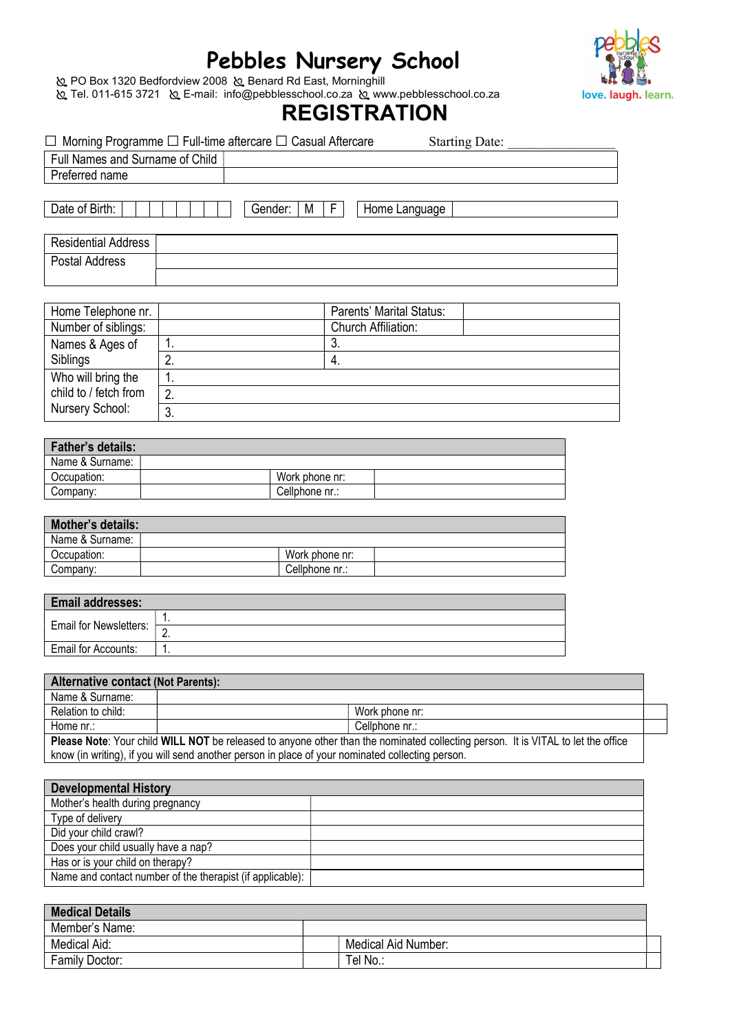# Pebbles Nursery School



 PO Box 1320 Bedfordview 2008 Benard Rd East, Morninghill Tel. 011-615 3721 E-mail: info@pebblesschool.co.za www.pebblesschool.co.za

# **REGISTRATION**

|                                             | $\Box$ Morning Programme $\Box$ Full-time aftercare $\Box$ Casual Aftercare                                                      |                                  |          |                          | <b>Starting Date:</b> |  |  |  |  |
|---------------------------------------------|----------------------------------------------------------------------------------------------------------------------------------|----------------------------------|----------|--------------------------|-----------------------|--|--|--|--|
| Full Names and Surname of Child             |                                                                                                                                  |                                  |          |                          |                       |  |  |  |  |
| Preferred name                              |                                                                                                                                  |                                  |          |                          |                       |  |  |  |  |
|                                             |                                                                                                                                  |                                  |          |                          |                       |  |  |  |  |
| Date of Birth:                              | Gender:                                                                                                                          | F.<br>M                          |          | Home Language            |                       |  |  |  |  |
| <b>Residential Address</b>                  |                                                                                                                                  |                                  |          |                          |                       |  |  |  |  |
| <b>Postal Address</b>                       |                                                                                                                                  |                                  |          |                          |                       |  |  |  |  |
|                                             |                                                                                                                                  |                                  |          |                          |                       |  |  |  |  |
|                                             |                                                                                                                                  |                                  |          |                          |                       |  |  |  |  |
| Home Telephone nr.                          |                                                                                                                                  |                                  |          | Parents' Marital Status: |                       |  |  |  |  |
| Number of siblings:                         |                                                                                                                                  |                                  |          | Church Affiliation:      |                       |  |  |  |  |
| Names & Ages of                             | 1.                                                                                                                               | 3.                               |          |                          |                       |  |  |  |  |
| Siblings                                    | 2.                                                                                                                               | 4.                               |          |                          |                       |  |  |  |  |
| Who will bring the                          | $\overline{1}$ .                                                                                                                 |                                  |          |                          |                       |  |  |  |  |
| child to / fetch from                       | 2.                                                                                                                               |                                  |          |                          |                       |  |  |  |  |
| Nursery School:                             | $\overline{3}$ .                                                                                                                 |                                  |          |                          |                       |  |  |  |  |
|                                             |                                                                                                                                  |                                  |          |                          |                       |  |  |  |  |
|                                             |                                                                                                                                  |                                  |          |                          |                       |  |  |  |  |
| <b>Father's details:</b><br>Name & Surname: |                                                                                                                                  |                                  |          |                          |                       |  |  |  |  |
|                                             |                                                                                                                                  | Work phone nr:                   |          |                          |                       |  |  |  |  |
|                                             | Occupation:                                                                                                                      |                                  |          |                          |                       |  |  |  |  |
| Company:                                    |                                                                                                                                  | Cellphone nr.:                   |          |                          |                       |  |  |  |  |
| <b>Mother's details:</b>                    |                                                                                                                                  |                                  |          |                          |                       |  |  |  |  |
|                                             |                                                                                                                                  |                                  |          |                          |                       |  |  |  |  |
| Name & Surname:                             |                                                                                                                                  |                                  |          |                          |                       |  |  |  |  |
| Occupation:<br>Company:                     |                                                                                                                                  | Work phone nr:<br>Cellphone nr.: |          |                          |                       |  |  |  |  |
|                                             |                                                                                                                                  |                                  |          |                          |                       |  |  |  |  |
| Email addresses:                            |                                                                                                                                  |                                  |          |                          |                       |  |  |  |  |
| Email for Newsletters:                      | 1.                                                                                                                               |                                  |          |                          |                       |  |  |  |  |
|                                             | $\overline{2}$ .                                                                                                                 |                                  |          |                          |                       |  |  |  |  |
| Email for Accounts:                         | 1.                                                                                                                               |                                  |          |                          |                       |  |  |  |  |
|                                             |                                                                                                                                  |                                  |          |                          |                       |  |  |  |  |
| <b>Alternative contact (Not Parents):</b>   |                                                                                                                                  |                                  |          |                          |                       |  |  |  |  |
| Name & Surname:                             |                                                                                                                                  |                                  |          |                          |                       |  |  |  |  |
| Relation to child:                          |                                                                                                                                  |                                  |          | Work phone nr:           |                       |  |  |  |  |
| Home nr.:                                   |                                                                                                                                  |                                  |          | Cellphone nr.:           |                       |  |  |  |  |
|                                             | Please Note: Your child WILL NOT be released to anyone other than the nominated collecting person. It is VITAL to let the office |                                  |          |                          |                       |  |  |  |  |
|                                             | know (in writing), if you will send another person in place of your nominated collecting person.                                 |                                  |          |                          |                       |  |  |  |  |
|                                             |                                                                                                                                  |                                  |          |                          |                       |  |  |  |  |
| <b>Developmental History</b>                |                                                                                                                                  |                                  |          |                          |                       |  |  |  |  |
| Mother's health during pregnancy            |                                                                                                                                  |                                  |          |                          |                       |  |  |  |  |
| Type of delivery                            |                                                                                                                                  |                                  |          |                          |                       |  |  |  |  |
| Did your child crawl?                       |                                                                                                                                  |                                  |          |                          |                       |  |  |  |  |
| Does your child usually have a nap?         |                                                                                                                                  |                                  |          |                          |                       |  |  |  |  |
| Has or is your child on therapy?            |                                                                                                                                  |                                  |          |                          |                       |  |  |  |  |
|                                             | Name and contact number of the therapist (if applicable):                                                                        |                                  |          |                          |                       |  |  |  |  |
| <b>Medical Details</b>                      |                                                                                                                                  |                                  |          |                          |                       |  |  |  |  |
| Member's Name:                              |                                                                                                                                  |                                  |          |                          |                       |  |  |  |  |
| Medical Aid:                                |                                                                                                                                  |                                  |          | Medical Aid Number:      |                       |  |  |  |  |
| Family Doctor:                              |                                                                                                                                  |                                  | Tel No.: |                          |                       |  |  |  |  |
|                                             |                                                                                                                                  |                                  |          |                          |                       |  |  |  |  |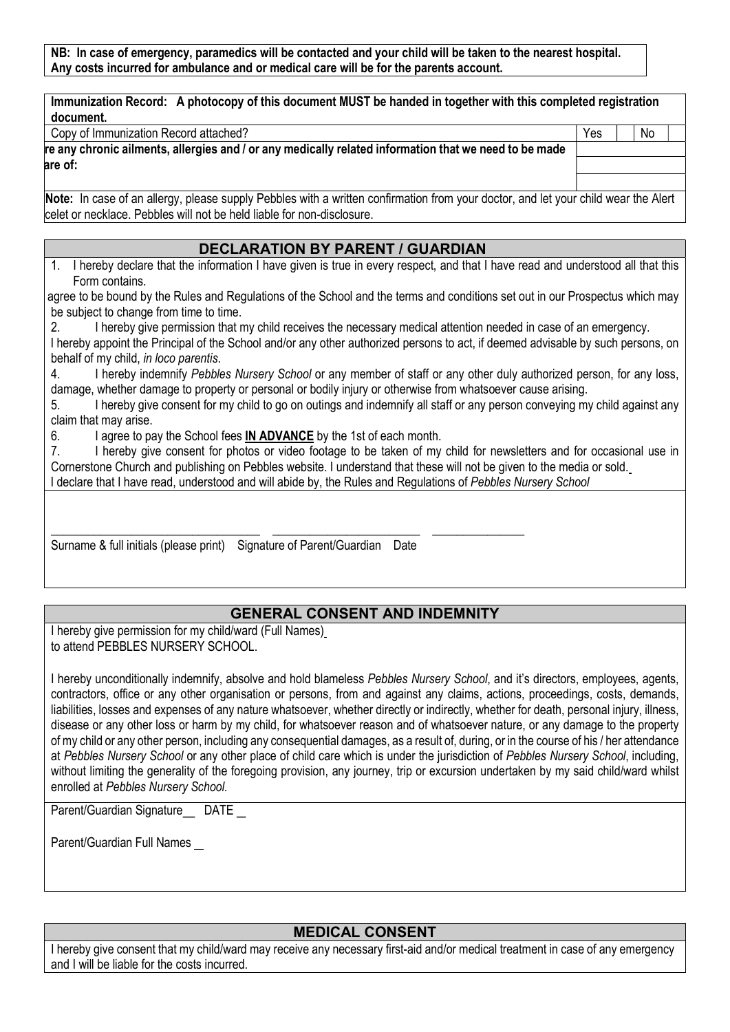NB: In case of emergency, paramedics will be contacted and your child will be taken to the nearest hospital. Any costs incurred for ambulance and or medical care will be for the parents account.

| document.<br>Copy of Immunization Record attached? |                                                                                                       | Yes | No. |
|----------------------------------------------------|-------------------------------------------------------------------------------------------------------|-----|-----|
|                                                    |                                                                                                       |     |     |
|                                                    | re any chronic ailments, allergies and / or any medically related information that we need to be made |     |     |
|                                                    |                                                                                                       |     |     |
| are of:                                            |                                                                                                       |     |     |

#### DECLARATION BY PARENT / GUARDIAN

1. I hereby declare that the information I have given is true in every respect, and that I have read and understood all that this Form contains.

agree to be bound by the Rules and Regulations of the School and the terms and conditions set out in our Prospectus which may be subject to change from time to time.

2. I hereby give permission that my child receives the necessary medical attention needed in case of an emergency. I hereby appoint the Principal of the School and/or any other authorized persons to act, if deemed advisable by such persons, on behalf of my child, in loco parentis.

4. I hereby indemnify Pebbles Nursery School or any member of staff or any other duly authorized person, for any loss, damage, whether damage to property or personal or bodily injury or otherwise from whatsoever cause arising.

5. I hereby give consent for my child to go on outings and indemnify all staff or any person conveying my child against any claim that may arise.

6. I agree to pay the School fees IN ADVANCE by the 1st of each month.

celet or necklace. Pebbles will not be held liable for non-disclosure.

7. I hereby give consent for photos or video footage to be taken of my child for newsletters and for occasional use in Cornerstone Church and publishing on Pebbles website. I understand that these will not be given to the media or sold.

I declare that I have read, understood and will abide by, the Rules and Regulations of Pebbles Nursery School

\_\_\_\_\_\_\_\_\_\_\_\_\_\_\_\_\_\_\_\_\_\_\_\_\_\_\_\_\_\_\_\_\_\_ \_\_\_\_\_\_\_\_\_\_\_\_\_\_\_\_\_\_\_\_\_\_\_\_ \_\_\_\_\_\_\_\_\_\_\_\_\_\_\_

Surname & full initials (please print) Signature of Parent/Guardian Date

## GENERAL CONSENT AND INDEMNITY

I hereby give permission for my child/ward (Full Names) to attend PEBBLES NURSERY SCHOOL.

I hereby unconditionally indemnify, absolve and hold blameless Pebbles Nursery School, and it's directors, employees, agents, contractors, office or any other organisation or persons, from and against any claims, actions, proceedings, costs, demands, liabilities, losses and expenses of any nature whatsoever, whether directly or indirectly, whether for death, personal injury, illness, disease or any other loss or harm by my child, for whatsoever reason and of whatsoever nature, or any damage to the property of my child or any other person, including any consequential damages, as a result of, during, or in the course of his / her attendance at Pebbles Nursery School or any other place of child care which is under the jurisdiction of Pebbles Nursery School, including, without limiting the generality of the foregoing provision, any journey, trip or excursion undertaken by my said child/ward whilst enrolled at Pebbles Nursery School.

Parent/Guardian Signature DATE

Parent/Guardian Full Names

## MEDICAL CONSENT

I hereby give consent that my child/ward may receive any necessary first-aid and/or medical treatment in case of any emergency and I will be liable for the costs incurred.